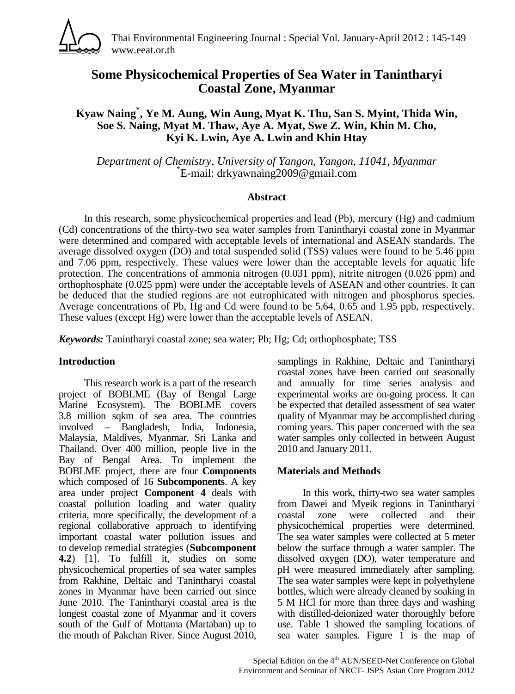

Thai Environmental Engineering Journal : Special Vol. January-April 2012 : 145-149 www.eeat.or.th

# **Some Physicochemical Properties of Sea Water in Tanintharyi Coastal Zone, Myanmar**

# **Kyaw Naing\* , Ye M. Aung, Win Aung, Myat K. Thu, San S. Myint, Thida Win, Soe S. Naing, Myat M. Thaw, Aye A. Myat, Swe Z. Win, Khin M. Cho, Kyi K. Lwin, Aye A. Lwin and Khin Htay**

*Department of Chemistry, University of Yangon, Yangon, 11041, Myanmar*  \* E-mail: drkyawnaing2009@gmail.com

## **Abstract**

 In this research, some physicochemical properties and lead (Pb), mercury (Hg) and cadmium (Cd) concentrations of the thirty-two sea water samples from Tanintharyi coastal zone in Myanmar were determined and compared with acceptable levels of international and ASEAN standards. The average dissolved oxygen (DO) and total suspended solid (TSS) values were found to be 5.46 ppm and 7.06 ppm, respectively. These values were lower than the acceptable levels for aquatic life protection. The concentrations of ammonia nitrogen (0.031 ppm), nitrite nitrogen (0.026 ppm) and orthophosphate (0.025 ppm) were under the acceptable levels of ASEAN and other countries. It can be deduced that the studied regions are not eutrophicated with nitrogen and phosphorus species. Average concentrations of Pb, Hg and Cd were found to be 5.64, 0.65 and 1.95 ppb, respectively. These values (except Hg) were lower than the acceptable levels of ASEAN.

*Keywords:* Tanintharyi coastal zone; sea water; Pb; Hg; Cd; orthophosphate; TSS

#### **Introduction**

 This research work is a part of the research project of BOBLME (Bay of Bengal Large Marine Ecosystem). The BOBLME covers 3.8 million sqkm of sea area. The countries involved – Bangladesh, India, Indonesia, Malaysia, Maldives, Myanmar, Sri Lanka and Thailand. Over 400 million, people live in the Bay of Bengal Area. To implement the BOBLME project, there are four **Components**  which composed of 16 **Subcomponents**. A key area under project **Component 4** deals with coastal pollution loading and water quality criteria, more specifically, the development of a regional collaborative approach to identifying important coastal water pollution issues and to develop remedial strategies (**Subcomponent 4.2**) [1]. To fulfill it, studies on some physicochemical properties of sea water samples from Rakhine, Deltaic and Tanintharyi coastal zones in Myanmar have been carried out since June 2010. The Tanintharyi coastal area is the longest coastal zone of Myanmar and it covers south of the Gulf of Mottama (Martaban) up to the mouth of Pakchan River. Since August  $2010$ , samplings in Rakhine, Deltaic and Tanintharyi coastal zones have been carried out seasonally and annually for time series analysis and experimental works are on-going process. It can be expected that detailed assessment of sea water quality of Myanmar may be accomplished during coming years. This paper concerned with the sea water samples only collected in between August 2010 and January 2011.

# **Materials and Methods**

 In this work, thirty-two sea water samples from Dawei and Myeik regions in Tanintharyi coastal zone were collected and their physicochemical properties were determined. The sea water samples were collected at 5 meter below the surface through a water sampler. The dissolved oxygen (DO), water temperature and pH were measured immediately after sampling. The sea water samples were kept in polyethylene bottles, which were already cleaned by soaking in 5 M HCl for more than three days and washing with distilled-deionized water thoroughly before use. Table 1 showed the sampling locations of sea water samples. Figure 1 is the map of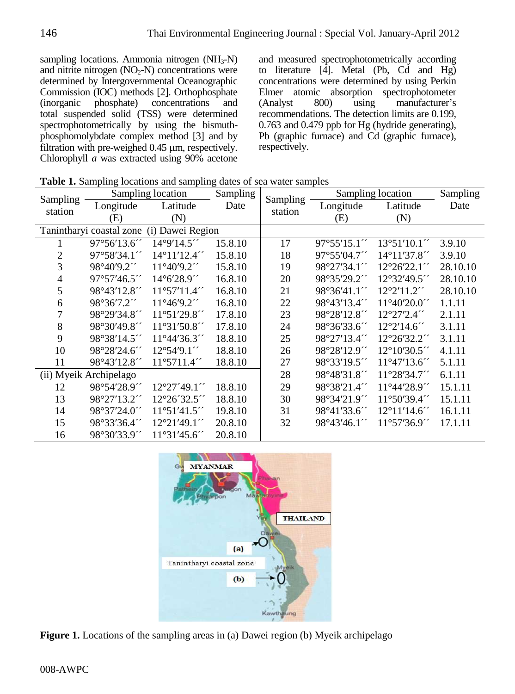sampling locations. Ammonia nitrogen  $(NH_3-N)$ and nitrite nitrogen  $(NO<sub>2</sub>-N)$  concentrations were determined by Intergovernmental Oceanographic Commission (IOC) methods [2]. Orthophosphate<br>(inorganic phosphate) concentrations and phosphate) concentrations and total suspended solid (TSS) were determined spectrophotometrically by using the bismuthphosphomolybdate complex method [3] and by filtration with pre-weighed 0.45 µm, respectively. Chlorophyll *a* was extracted using 90% acetone

and measured spectrophotometrically according to literature  $[\hat{4}]$ . Metal (Pb, Cd and Hg) concentrations were determined by using Perkin Elmer atomic absorption spectrophotometer (Analyst 800) using manufacturer's recommendations. The detection limits are 0.199, 0.763 and 0.479 ppb for Hg (hydride generating), Pb (graphic furnace) and Cd (graphic furnace), respectively.

| Sampling       |                          | Sampling location     | Sampling | Sampling | Sampling location | Sampling              |          |
|----------------|--------------------------|-----------------------|----------|----------|-------------------|-----------------------|----------|
| station        | Longitude                | Latitude              | Date     |          | Longitude         | Latitude              | Date     |
|                | (E)                      | (N)                   |          | station  | (E)               | (N)                   |          |
|                | Tanintharyi coastal zone | (i) Dawei Region      |          |          |                   |                       |          |
|                | 97°56'13.6"              | 14°9'14.5"            | 15.8.10  | 17       | 97°55'15.1"       | 13°51'10.1"           | 3.9.10   |
| $\overline{2}$ | 97°58'34.1"              | 14°11'12.4"           | 15.8.10  | 18       | 97°55'04.7"       | 14°11'37.8"           | 3.9.10   |
| 3              | 98°40'9.2"               | $11^{\circ}40'9.2''$  | 15.8.10  | 19       | 98°27'34.1"       | 12°26'22.1"           | 28.10.10 |
| $\overline{4}$ | 97°57'46.5"              | 14°6'28.9"            | 16.8.10  | 20       | 98°35'29.2"       | 12°32'49.5"           | 28.10.10 |
| 5              | 98°43'12.8"              | 11°57'11.4''          | 16.8.10  | 21       | 98°36'41.1"       | 12°2'11.2"            | 28.10.10 |
| 6              | 98°36'7.2"               | 11°46'9.2"            | 16.8.10  | 22       | 98°43'13.4"       | $11^{\circ}40'20.0''$ | 1.1.11   |
| 7              | 98°29'34.8"              | 11°51'29.8"           | 17.8.10  | 23       | 98°28'12.8"       | 12°27'2.4"            | 2.1.11   |
| 8              | 98°30'49.8"              | 11°31'50.8"           | 17.8.10  | 24       | 98°36'33.6"       | $12^{\circ}2'14.6''$  | 3.1.11   |
| 9              | 98°38'14.5"              | $11^{\circ}44'36.3''$ | 18.8.10  | 25       | 98°27'13.4"       | 12°26'32.2"           | 3.1.11   |
| 10             | 98°28'24.6"              | $12^{\circ}54'9.1''$  | 18.8.10  | 26       | 98°28'12.9"       | 12°10'30.5"           | 4.1.11   |
| 11             | 98°43'12.8"              | 11°5711.4"            | 18.8.10  | 27       | 98°33'19.5"       | 11°47'13.6"           | 5.1.11   |
|                | (ii) Myeik Archipelago   |                       |          | 28       | 98°48'31.8"       | 11°28'34.7"           | 6.1.11   |
| 12             | 98°54'28.9"              | 12°27'49.1"           | 18.8.10  | 29       | 98°38'21.4"       | $11^{\circ}44'28.9''$ | 15.1.11  |
| 13             | 98°27'13.2"              | 12°26'32.5"           | 18.8.10  | 30       | 98°34'21.9"       | 11°50'39.4"           | 15.1.11  |
| 14             | 98°37'24.0"              | 11°51'41.5''          | 19.8.10  | 31       | 98°41'33.6"       | 12°11'14.6"           | 16.1.11  |
| 15             | 98°33'36.4"              | 12°21'49.1"           | 20.8.10  | 32       | 98°43'46.1"       | 11°57'36.9"           | 17.1.11  |
| 16             | 98°30'33.9"              | 11°31'45.6"           | 20.8.10  |          |                   |                       |          |

**Table 1.** Sampling locations and sampling dates of sea water samples



**Figure 1.** Locations of the sampling areas in (a) Dawei region (b) Myeik archipelago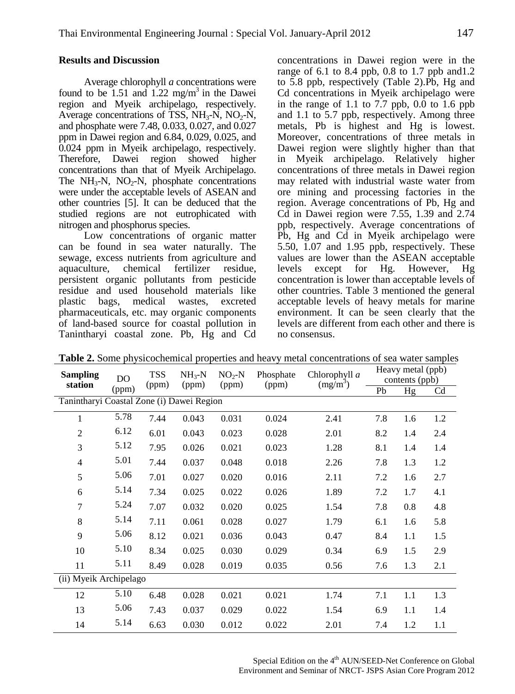Average chlorophyll *a* concentrations were found to be 1.51 and 1.22 mg/m<sup>3</sup> in the Dawei region and Myeik archipelago, respectively. Average concentrations of TSS,  $NH<sub>3</sub>-N$ , NO<sub>2</sub>-N, and phosphate were 7.48, 0.033, 0.027, and 0.027 ppm in Dawei region and 6.84, 0.029, 0.025, and 0.024 ppm in Myeik archipelago, respectively. Therefore, Dawei region showed higher concentrations than that of Myeik Archipelago. The  $NH_3-N$ ,  $NO_2-N$ , phosphate concentrations were under the acceptable levels of ASEAN and other countries [5]. It can be deduced that the studied regions are not eutrophicated with nitrogen and phosphorus species.

 Low concentrations of organic matter can be found in sea water naturally. The sewage, excess nutrients from agriculture and aquaculture, chemical fertilizer residue, persistent organic pollutants from pesticide residue and used household materials like plastic bags, medical wastes, excreted pharmaceuticals, etc. may organic components of land-based source for coastal pollution in Tanintharyi coastal zone. Pb, Hg and Cd concentrations in Dawei region were in the range of 6.1 to 8.4 ppb, 0.8 to 1.7 ppb and1.2 to 5.8 ppb, respectively (Table 2).Pb, Hg and Cd concentrations in Myeik archipelago were in the range of 1.1 to 7.7 ppb, 0.0 to 1.6 ppb and 1.1 to 5.7 ppb, respectively. Among three metals, Pb is highest and Hg is lowest. Moreover, concentrations of three metals in Dawei region were slightly higher than that in Myeik archipelago. Relatively higher concentrations of three metals in Dawei region may related with industrial waste water from ore mining and processing factories in the region. Average concentrations of Pb, Hg and Cd in Dawei region were 7.55, 1.39 and 2.74 ppb, respectively. Average concentrations of Pb, Hg and Cd in Myeik archipelago were 5.50, 1.07 and 1.95 ppb, respectively. These values are lower than the ASEAN acceptable levels except for Hg. However, Hg concentration is lower than acceptable levels of other countries. Table 3 mentioned the general acceptable levels of heavy metals for marine environment. It can be seen clearly that the levels are different from each other and there is no consensus.

| <b>Sampling</b><br>station                | DO.   | <b>TSS</b> | $NH_{3}-N$ | $NO2-N$ | Phosphate<br>(ppm) | Chlorophyll a<br>$(mg/m^3)$ | Heavy metal (ppb)<br>contents (ppb) |     |     |
|-------------------------------------------|-------|------------|------------|---------|--------------------|-----------------------------|-------------------------------------|-----|-----|
|                                           | (ppm) | (ppm)      | (ppm)      | (ppm)   |                    |                             | Pb                                  | Hg  | Cd  |
| Tanintharyi Coastal Zone (i) Dawei Region |       |            |            |         |                    |                             |                                     |     |     |
| $\mathbf{1}$                              | 5.78  | 7.44       | 0.043      | 0.031   | 0.024              | 2.41                        | 7.8                                 | 1.6 | 1.2 |
| $\overline{2}$                            | 6.12  | 6.01       | 0.043      | 0.023   | 0.028              | 2.01                        | 8.2                                 | 1.4 | 2.4 |
| 3                                         | 5.12  | 7.95       | 0.026      | 0.021   | 0.023              | 1.28                        | 8.1                                 | 1.4 | 1.4 |
| $\overline{4}$                            | 5.01  | 7.44       | 0.037      | 0.048   | 0.018              | 2.26                        | 7.8                                 | 1.3 | 1.2 |
| 5                                         | 5.06  | 7.01       | 0.027      | 0.020   | 0.016              | 2.11                        | 7.2                                 | 1.6 | 2.7 |
| 6                                         | 5.14  | 7.34       | 0.025      | 0.022   | 0.026              | 1.89                        | 7.2                                 | 1.7 | 4.1 |
| $\tau$                                    | 5.24  | 7.07       | 0.032      | 0.020   | 0.025              | 1.54                        | 7.8                                 | 0.8 | 4.8 |
| 8                                         | 5.14  | 7.11       | 0.061      | 0.028   | 0.027              | 1.79                        | 6.1                                 | 1.6 | 5.8 |
| 9                                         | 5.06  | 8.12       | 0.021      | 0.036   | 0.043              | 0.47                        | 8.4                                 | 1.1 | 1.5 |
| 10                                        | 5.10  | 8.34       | 0.025      | 0.030   | 0.029              | 0.34                        | 6.9                                 | 1.5 | 2.9 |
| 11                                        | 5.11  | 8.49       | 0.028      | 0.019   | 0.035              | 0.56                        | 7.6                                 | 1.3 | 2.1 |
| (ii) Myeik Archipelago                    |       |            |            |         |                    |                             |                                     |     |     |
| 12                                        | 5.10  | 6.48       | 0.028      | 0.021   | 0.021              | 1.74                        | 7.1                                 | 1.1 | 1.3 |
| 13                                        | 5.06  | 7.43       | 0.037      | 0.029   | 0.022              | 1.54                        | 6.9                                 | 1.1 | 1.4 |
| 14                                        | 5.14  | 6.63       | 0.030      | 0.012   | 0.022              | 2.01                        | 7.4                                 | 1.2 | 1.1 |

**Table 2.** Some physicochemical properties and heavy metal concentrations of sea water samples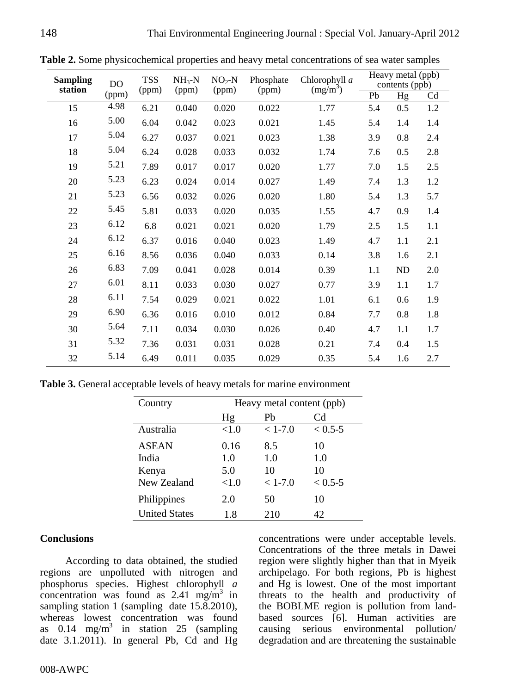| <b>Sampling</b> | D <sub>O</sub><br>(ppm) | <b>TSS</b><br>(ppm) | $NH3-N$<br>(ppm) | $NO2-N$<br>(ppm) | Phosphate<br>(ppm) | Chlorophyll a<br>$(mg/m^3)$ | Heavy metal (ppb)<br>contents (ppb) |     |                |
|-----------------|-------------------------|---------------------|------------------|------------------|--------------------|-----------------------------|-------------------------------------|-----|----------------|
| station         |                         |                     |                  |                  |                    |                             | Pb                                  | Hg  | C <sub>d</sub> |
| 15              | 4.98                    | 6.21                | 0.040            | 0.020            | 0.022              | 1.77                        | 5.4                                 | 0.5 | 1.2            |
| 16              | 5.00                    | 6.04                | 0.042            | 0.023            | 0.021              | 1.45                        | 5.4                                 | 1.4 | 1.4            |
| 17              | 5.04                    | 6.27                | 0.037            | 0.021            | 0.023              | 1.38                        | 3.9                                 | 0.8 | 2.4            |
| 18              | 5.04                    | 6.24                | 0.028            | 0.033            | 0.032              | 1.74                        | 7.6                                 | 0.5 | 2.8            |
| 19              | 5.21                    | 7.89                | 0.017            | 0.017            | 0.020              | 1.77                        | 7.0                                 | 1.5 | 2.5            |
| 20              | 5.23                    | 6.23                | 0.024            | 0.014            | 0.027              | 1.49                        | 7.4                                 | 1.3 | 1.2            |
| 21              | 5.23                    | 6.56                | 0.032            | 0.026            | 0.020              | 1.80                        | 5.4                                 | 1.3 | 5.7            |
| 22              | 5.45                    | 5.81                | 0.033            | 0.020            | 0.035              | 1.55                        | 4.7                                 | 0.9 | 1.4            |
| 23              | 6.12                    | 6.8                 | 0.021            | 0.021            | 0.020              | 1.79                        | 2.5                                 | 1.5 | 1.1            |
| 24              | 6.12                    | 6.37                | 0.016            | 0.040            | 0.023              | 1.49                        | 4.7                                 | 1.1 | 2.1            |
| 25              | 6.16                    | 8.56                | 0.036            | 0.040            | 0.033              | 0.14                        | 3.8                                 | 1.6 | 2.1            |
| 26              | 6.83                    | 7.09                | 0.041            | 0.028            | 0.014              | 0.39                        | 1.1                                 | ND  | 2.0            |
| 27              | 6.01                    | 8.11                | 0.033            | 0.030            | 0.027              | 0.77                        | 3.9                                 | 1.1 | 1.7            |
| 28              | 6.11                    | 7.54                | 0.029            | 0.021            | 0.022              | 1.01                        | 6.1                                 | 0.6 | 1.9            |
| 29              | 6.90                    | 6.36                | 0.016            | 0.010            | 0.012              | 0.84                        | 7.7                                 | 0.8 | 1.8            |
| 30              | 5.64                    | 7.11                | 0.034            | 0.030            | 0.026              | 0.40                        | 4.7                                 | 1.1 | 1.7            |
| 31              | 5.32                    | 7.36                | 0.031            | 0.031            | 0.028              | 0.21                        | 7.4                                 | 0.4 | 1.5            |
| 32              | 5.14                    | 6.49                | 0.011            | 0.035            | 0.029              | 0.35                        | 5.4                                 | 1.6 | 2.7            |

**Table 2.** Some physicochemical properties and heavy metal concentrations of sea water samples

**Table 3.** General acceptable levels of heavy metals for marine environment

| Country              | Heavy metal content (ppb) |             |             |  |  |  |
|----------------------|---------------------------|-------------|-------------|--|--|--|
|                      | Hg                        | Ph          | Cd          |  |  |  |
| Australia            | < 1.0                     | $< 1 - 7.0$ | $< 0.5 - 5$ |  |  |  |
| <b>ASEAN</b>         | 0.16                      | 8.5         | 10          |  |  |  |
| India                | 1.0                       | 1.0         | 1.0         |  |  |  |
| Kenya                | 5.0                       | 10          | 10          |  |  |  |
| New Zealand          | ${<}1.0$                  | $< 1 - 7.0$ | $< 0.5 - 5$ |  |  |  |
| Philippines          | 2.0                       | 50          | 10          |  |  |  |
| <b>United States</b> | 1.8                       | 210         | 42          |  |  |  |

## **Conclusions**

 According to data obtained, the studied regions are unpolluted with nitrogen and phosphorus species. Highest chlorophyll *a*  concentration was found as  $2.41 \text{ mg/m}^3$  in sampling station 1 (sampling date 15.8.2010), whereas lowest concentration was found as  $0.14$  mg/m<sup>3</sup> in station 25 (sampling date 3.1.2011). In general Pb, Cd and Hg

concentrations were under acceptable levels. Concentrations of the three metals in Dawei region were slightly higher than that in Myeik archipelago. For both regions, Pb is highest and Hg is lowest. One of the most important threats to the health and productivity of the BOBLME region is pollution from landbased sources [6]. Human activities are causing serious environmental pollution/ degradation and are threatening the sustainable